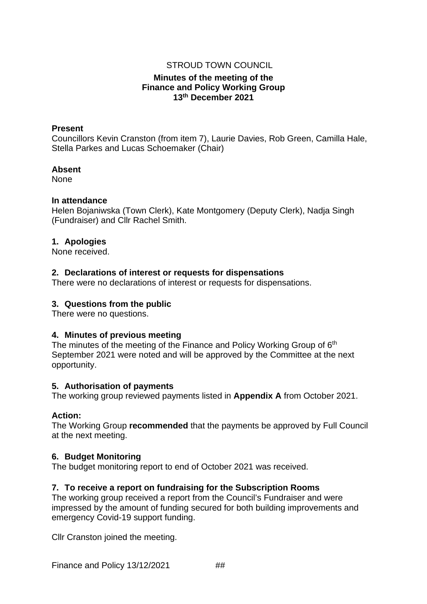## STROUD TOWN COUNCIL

## **Minutes of the meeting of the Finance and Policy Working Group 13th December 2021**

#### **Present**

Councillors Kevin Cranston (from item 7), Laurie Davies, Rob Green, Camilla Hale, Stella Parkes and Lucas Schoemaker (Chair)

#### **Absent**

None

#### **In attendance**

Helen Bojaniwska (Town Clerk), Kate Montgomery (Deputy Clerk), Nadja Singh (Fundraiser) and Cllr Rachel Smith.

## **1. Apologies**

None received.

## **2. Declarations of interest or requests for dispensations**

There were no declarations of interest or requests for dispensations.

## **3. Questions from the public**

There were no questions.

## **4. Minutes of previous meeting**

The minutes of the meeting of the Finance and Policy Working Group of 6<sup>th</sup> September 2021 were noted and will be approved by the Committee at the next opportunity.

## **5. Authorisation of payments**

The working group reviewed payments listed in **[Appendix](#page-4-0) A** from October 2021.

## **Action:**

The Working Group **recommended** that the payments be approved by Full Council at the next meeting.

## **6. Budget Monitoring**

The budget monitoring report to end of October 2021 was received.

## **7. To receive a report on fundraising for the Subscription Rooms**

The working group received a report from the Council's Fundraiser and were impressed by the amount of funding secured for both building improvements and emergency Covid-19 support funding.

Cllr Cranston joined the meeting.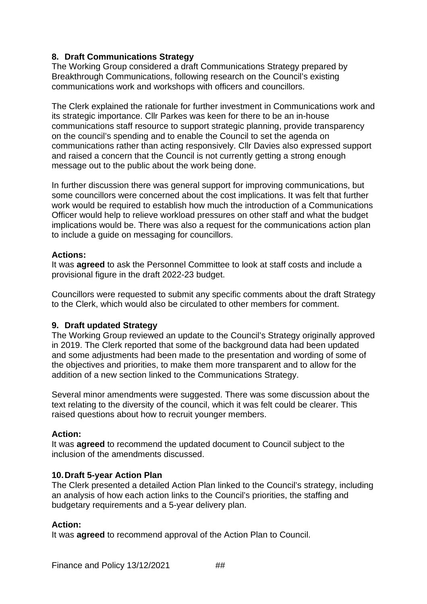# **8. Draft Communications Strategy**

The Working Group considered a draft Communications Strategy prepared by Breakthrough Communications, following research on the Council's existing communications work and workshops with officers and councillors.

The Clerk explained the rationale for further investment in Communications work and its strategic importance. Cllr Parkes was keen for there to be an in-house communications staff resource to support strategic planning, provide transparency on the council's spending and to enable the Council to set the agenda on communications rather than acting responsively. Cllr Davies also expressed support and raised a concern that the Council is not currently getting a strong enough message out to the public about the work being done.

In further discussion there was general support for improving communications, but some councillors were concerned about the cost implications. It was felt that further work would be required to establish how much the introduction of a Communications Officer would help to relieve workload pressures on other staff and what the budget implications would be. There was also a request for the communications action plan to include a guide on messaging for councillors.

## **Actions:**

It was **agreed** to ask the Personnel Committee to look at staff costs and include a provisional figure in the draft 2022-23 budget.

Councillors were requested to submit any specific comments about the draft Strategy to the Clerk, which would also be circulated to other members for comment.

## **9. Draft updated Strategy**

The Working Group reviewed an update to the Council's Strategy originally approved in 2019. The Clerk reported that some of the background data had been updated and some adjustments had been made to the presentation and wording of some of the objectives and priorities, to make them more transparent and to allow for the addition of a new section linked to the Communications Strategy.

Several minor amendments were suggested. There was some discussion about the text relating to the diversity of the council, which it was felt could be clearer. This raised questions about how to recruit younger members.

## **Action:**

It was **agreed** to recommend the updated document to Council subject to the inclusion of the amendments discussed.

## **10.Draft 5-year Action Plan**

The Clerk presented a detailed Action Plan linked to the Council's strategy, including an analysis of how each action links to the Council's priorities, the staffing and budgetary requirements and a 5-year delivery plan.

## **Action:**

It was **agreed** to recommend approval of the Action Plan to Council.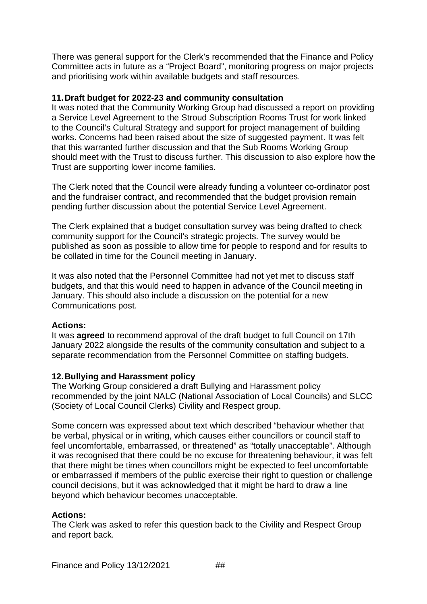There was general support for the Clerk's recommended that the Finance and Policy Committee acts in future as a "Project Board", monitoring progress on major projects and prioritising work within available budgets and staff resources.

## **11.Draft budget for 2022-23 and community consultation**

It was noted that the Community Working Group had discussed a report on providing a Service Level Agreement to the Stroud Subscription Rooms Trust for work linked to the Council's Cultural Strategy and support for project management of building works. Concerns had been raised about the size of suggested payment. It was felt that this warranted further discussion and that the Sub Rooms Working Group should meet with the Trust to discuss further. This discussion to also explore how the Trust are supporting lower income families.

The Clerk noted that the Council were already funding a volunteer co-ordinator post and the fundraiser contract, and recommended that the budget provision remain pending further discussion about the potential Service Level Agreement.

The Clerk explained that a budget consultation survey was being drafted to check community support for the Council's strategic projects. The survey would be published as soon as possible to allow time for people to respond and for results to be collated in time for the Council meeting in January.

It was also noted that the Personnel Committee had not yet met to discuss staff budgets, and that this would need to happen in advance of the Council meeting in January. This should also include a discussion on the potential for a new Communications post.

# **Actions:**

It was **agreed** to recommend approval of the draft budget to full Council on 17th January 2022 alongside the results of the community consultation and subject to a separate recommendation from the Personnel Committee on staffing budgets.

# **12.Bullying and Harassment policy**

The Working Group considered a draft Bullying and Harassment policy recommended by the joint NALC (National Association of Local Councils) and SLCC (Society of Local Council Clerks) Civility and Respect group.

Some concern was expressed about text which described "behaviour whether that be verbal, physical or in writing, which causes either councillors or council staff to feel uncomfortable, embarrassed, or threatened" as "totally unacceptable". Although it was recognised that there could be no excuse for threatening behaviour, it was felt that there might be times when councillors might be expected to feel uncomfortable or embarrassed if members of the public exercise their right to question or challenge council decisions, but it was acknowledged that it might be hard to draw a line beyond which behaviour becomes unacceptable.

# **Actions:**

The Clerk was asked to refer this question back to the Civility and Respect Group and report back.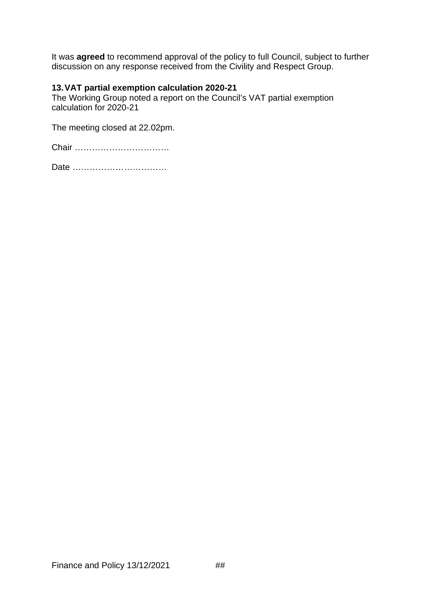It was **agreed** to recommend approval of the policy to full Council, subject to further discussion on any response received from the Civility and Respect Group.

## **13.VAT partial exemption calculation 2020-21**

The Working Group noted a report on the Council's VAT partial exemption calculation for 2020-21

The meeting closed at 22.02pm.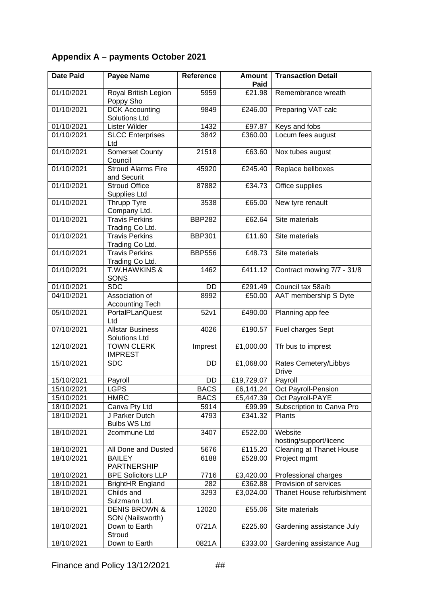# <span id="page-4-0"></span>**Appendix A – payments October 2021**

| <b>Date Paid</b> | <b>Payee Name</b>                             | Reference     | <b>Amount</b><br>Paid | <b>Transaction Detail</b>             |
|------------------|-----------------------------------------------|---------------|-----------------------|---------------------------------------|
| 01/10/2021       | Royal British Legion<br>Poppy Sho             | 5959          | £21.98                | Remembrance wreath                    |
| 01/10/2021       | <b>DCK Accounting</b><br><b>Solutions Ltd</b> | 9849          | £246.00               | Preparing VAT calc                    |
| 01/10/2021       | Lister Wilder                                 | 1432          | £97.87                | Keys and fobs                         |
| 01/10/2021       | <b>SLCC Enterprises</b><br>Ltd                | 3842          | £360.00               | Locum fees august                     |
| 01/10/2021       | <b>Somerset County</b><br>Council             | 21518         | £63.60                | Nox tubes august                      |
| 01/10/2021       | <b>Stroud Alarms Fire</b><br>and Securit      | 45920         | £245.40               | Replace bellboxes                     |
| 01/10/2021       | <b>Stroud Office</b><br>Supplies Ltd          | 87882         | £34.73                | Office supplies                       |
| 01/10/2021       | Thrupp Tyre<br>Company Ltd.                   | 3538          | £65.00                | New tyre renault                      |
| 01/10/2021       | <b>Travis Perkins</b><br>Trading Co Ltd.      | <b>BBP282</b> | £62.64                | Site materials                        |
| 01/10/2021       | <b>Travis Perkins</b><br>Trading Co Ltd.      | <b>BBP301</b> | £11.60                | Site materials                        |
| 01/10/2021       | <b>Travis Perkins</b><br>Trading Co Ltd.      | <b>BBP556</b> | £48.73                | Site materials                        |
| 01/10/2021       | <b>T.W.HAWKINS &amp;</b><br>SONS              | 1462          | £411.12               | Contract mowing 7/7 - 31/8            |
| 01/10/2021       | <b>SDC</b>                                    | <b>DD</b>     | £291.49               | Council tax 58a/b                     |
| 04/10/2021       | Association of<br><b>Accounting Tech</b>      | 8992          | £50.00                | AAT membership S Dyte                 |
| 05/10/2021       | PortalPLanQuest<br>Ltd                        | 52v1          | £490.00               | Planning app fee                      |
| 07/10/2021       | <b>Allstar Business</b><br>Solutions Ltd      | 4026          | £190.57               | Fuel charges Sept                     |
| 12/10/2021       | <b>TOWN CLERK</b><br><b>IMPREST</b>           | Imprest       | £1,000.00             | Tfr bus to imprest                    |
| 15/10/2021       | <b>SDC</b>                                    | DD            | £1,068.00             | Rates Cemetery/Libbys<br><b>Drive</b> |
| 15/10/2021       | Payroll                                       | DD            | £19,729.07            | Payroll                               |
| 15/10/2021       | <b>LGPS</b>                                   | <b>BACS</b>   | £6,141.24             | Oct Payroll-Pension                   |
| 15/10/2021       | <b>HMRC</b>                                   | <b>BACS</b>   | £5,447.39             | Oct Payroll-PAYE                      |
| 18/10/2021       | Canva Pty Ltd                                 | 5914          | £99.99                | Subscription to Canva Pro             |
| 18/10/2021       | J Parker Dutch<br><b>Bulbs WS Ltd</b>         | 4793          | £341.32               | Plants                                |
| 18/10/2021       | 2commune Ltd                                  | 3407          | £522.00               | Website<br>hosting/support/licenc     |
| 18/10/2021       | All Done and Dusted                           | 5676          | £115.20               | <b>Cleaning at Thanet House</b>       |
| 18/10/2021       | <b>BAILEY</b><br>PARTNERSHIP                  | 6188          | £528.00               | Project mgmt                          |
| 18/10/2021       | <b>BPE Solicitors LLP</b>                     | 7716          | £3,420.00             | Professional charges                  |
| 18/10/2021       | <b>BrightHR England</b>                       | 282           | £362.88               | Provision of services                 |
| 18/10/2021       | Childs and<br>Sulzmann Ltd.                   | 3293          | £3,024.00             | Thanet House refurbishment            |
| 18/10/2021       | <b>DENIS BROWN &amp;</b><br>SON (Nailsworth)  | 12020         | £55.06                | Site materials                        |
| 18/10/2021       | Down to Earth<br>Stroud                       | 0721A         | £225.60               | Gardening assistance July             |
| 18/10/2021       | Down to Earth                                 | 0821A         | £333.00               | Gardening assistance Aug              |

Finance and Policy 13/12/2021 ##